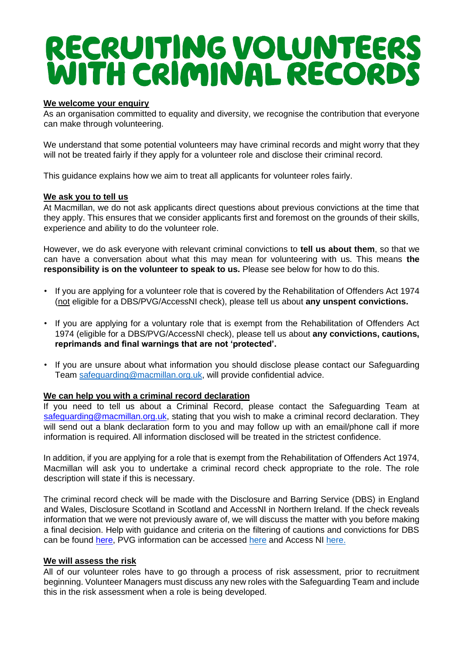# RECRUITING VOLUNTEERS<br>WITH CRIMINAL RECORDS

#### **We welcome your enquiry**

As an organisation committed to equality and diversity, we recognise the contribution that everyone can make through volunteering.

We understand that some potential volunteers may have criminal records and might worry that they will not be treated fairly if they apply for a volunteer role and disclose their criminal record.

This guidance explains how we aim to treat all applicants for volunteer roles fairly.

### **We ask you to tell us**

At Macmillan, we do not ask applicants direct questions about previous convictions at the time that they apply. This ensures that we consider applicants first and foremost on the grounds of their skills, experience and ability to do the volunteer role.

However, we do ask everyone with relevant criminal convictions to **tell us about them**, so that we can have a conversation about what this may mean for volunteering with us. This means **the responsibility is on the volunteer to speak to us.** Please see below for how to do this.

- If you are applying for a volunteer role that is covered by the Rehabilitation of Offenders Act 1974 (not eligible for a DBS/PVG/AccessNI check), please tell us about **any unspent convictions.**
- If you are applying for a voluntary role that is exempt from the Rehabilitation of Offenders Act 1974 (eligible for a DBS/PVG/AccessNI check), please tell us about **any convictions, cautions, reprimands and final warnings that are not 'protected'.**
- If you are unsure about what information you should disclose please contact our Safeguarding Team [safeguarding@macmillan.org.uk,](mailto:safeguarding@macmillan.org.uk) will provide confidential advice.

# **We can help you with a criminal record declaration**

If you need to tell us about a Criminal Record, please contact the Safeguarding Team at safeguarding@macmillan.org.uk, stating that you wish to make a criminal record declaration. They will send out a blank declaration form to you and may follow up with an email/phone call if more information is required. All information disclosed will be treated in the strictest confidence.

In addition, if you are applying for a role that is exempt from the Rehabilitation of Offenders Act 1974, Macmillan will ask you to undertake a criminal record check appropriate to the role. The role description will state if this is necessary.

The criminal record check will be made with the Disclosure and Barring Service (DBS) in England and Wales, Disclosure Scotland in Scotland and AccessNI in Northern Ireland. If the check reveals information that we were not previously aware of, we will discuss the matter with you before making a final decision. Help with guidance and criteria on the filtering of cautions and convictions for DBS can be found [here,](https://3bx16p38bchl32s0e12di03h-wpengine.netdna-ssl.com/wp-content/uploads/2016/05/Practical-guidance-on-DBS-filtering_2016.pdf) PVG information can be accessed [here](https://www.mygov.scot/convictions-higher-disclosures) and Access NI [here.](https://www.nidirect.gov.uk/articles/information-disclosed-criminal-record-check#:~:text=This%20is%20called%20%E2%80%98filtering%E2%80%99.%20AccessNI%20filters%20convictions%20and,in%20a%20prison%20sentence.%20Offences%20that%20aren%27t%20filtered)

#### **We will assess the risk**

All of our volunteer roles have to go through a process of risk assessment, prior to recruitment beginning. Volunteer Managers must discuss any new roles with the Safeguarding Team and include this in the risk assessment when a role is being developed.